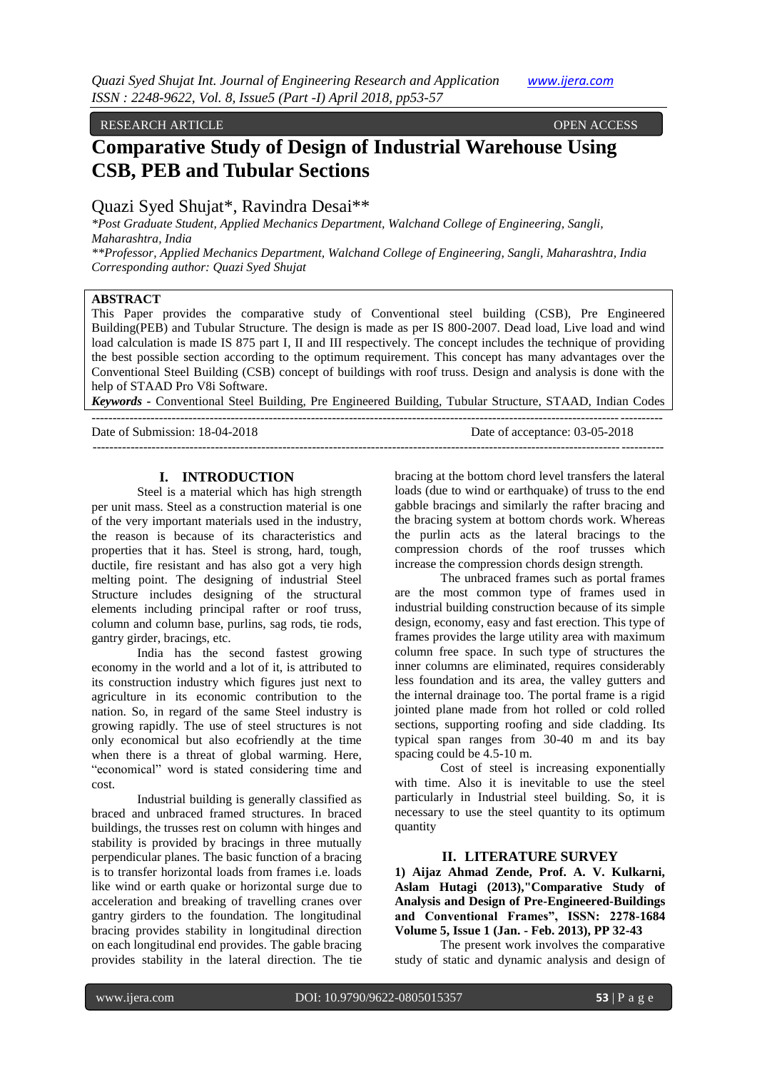#### RESEARCH ARTICLE OPEN ACCESS

# **Comparative Study of Design of Industrial Warehouse Using CSB, PEB and Tubular Sections**

# Quazi Syed Shujat\*, Ravindra Desai\*\*

*\*Post Graduate Student, Applied Mechanics Department, Walchand College of Engineering, Sangli, Maharashtra, India*

*\*\*Professor, Applied Mechanics Department, Walchand College of Engineering, Sangli, Maharashtra, India Corresponding author: Quazi Syed Shujat*

# **ABSTRACT**

This Paper provides the comparative study of Conventional steel building (CSB), Pre Engineered Building(PEB) and Tubular Structure. The design is made as per IS 800-2007. Dead load, Live load and wind load calculation is made IS 875 part I, II and III respectively. The concept includes the technique of providing the best possible section according to the optimum requirement. This concept has many advantages over the Conventional Steel Building (CSB) concept of buildings with roof truss. Design and analysis is done with the help of STAAD Pro V8i Software.

*Keywords* **-** Conventional Steel Building, Pre Engineered Building, Tubular Structure, STAAD, Indian Codes

| Date of Submission: 18-04-2018 | Date of acceptance: 03-05-2018 |
|--------------------------------|--------------------------------|
|                                |                                |

# **I. INTRODUCTION**

Steel is a material which has high strength per unit mass. Steel as a construction material is one of the very important materials used in the industry, the reason is because of its characteristics and properties that it has. Steel is strong, hard, tough, ductile, fire resistant and has also got a very high melting point. The designing of industrial Steel Structure includes designing of the structural elements including principal rafter or roof truss, column and column base, purlins, sag rods, tie rods, gantry girder, bracings, etc.

India has the second fastest growing economy in the world and a lot of it, is attributed to its construction industry which figures just next to agriculture in its economic contribution to the nation. So, in regard of the same Steel industry is growing rapidly. The use of steel structures is not only economical but also ecofriendly at the time when there is a threat of global warming. Here, "economical" word is stated considering time and cost.

Industrial building is generally classified as braced and unbraced framed structures. In braced buildings, the trusses rest on column with hinges and stability is provided by bracings in three mutually perpendicular planes. The basic function of a bracing is to transfer horizontal loads from frames i.e. loads like wind or earth quake or horizontal surge due to acceleration and breaking of travelling cranes over gantry girders to the foundation. The longitudinal bracing provides stability in longitudinal direction on each longitudinal end provides. The gable bracing provides stability in the lateral direction. The tie

bracing at the bottom chord level transfers the lateral loads (due to wind or earthquake) of truss to the end gabble bracings and similarly the rafter bracing and the bracing system at bottom chords work. Whereas the purlin acts as the lateral bracings to the compression chords of the roof trusses which increase the compression chords design strength.

The unbraced frames such as portal frames are the most common type of frames used in industrial building construction because of its simple design, economy, easy and fast erection. This type of frames provides the large utility area with maximum column free space. In such type of structures the inner columns are eliminated, requires considerably less foundation and its area, the valley gutters and the internal drainage too. The portal frame is a rigid jointed plane made from hot rolled or cold rolled sections, supporting roofing and side cladding. Its typical span ranges from 30-40 m and its bay spacing could be 4.5-10 m.

Cost of steel is increasing exponentially with time. Also it is inevitable to use the steel particularly in Industrial steel building. So, it is necessary to use the steel quantity to its optimum quantity

# **II. LITERATURE SURVEY**

**1) Aijaz Ahmad Zende, Prof. A. V. Kulkarni, Aslam Hutagi (2013),"Comparative Study of Analysis and Design of Pre-Engineered-Buildings and Conventional Frames", ISSN: 2278-1684 Volume 5, Issue 1 (Jan. - Feb. 2013), PP 32-43**

The present work involves the comparative study of static and dynamic analysis and design of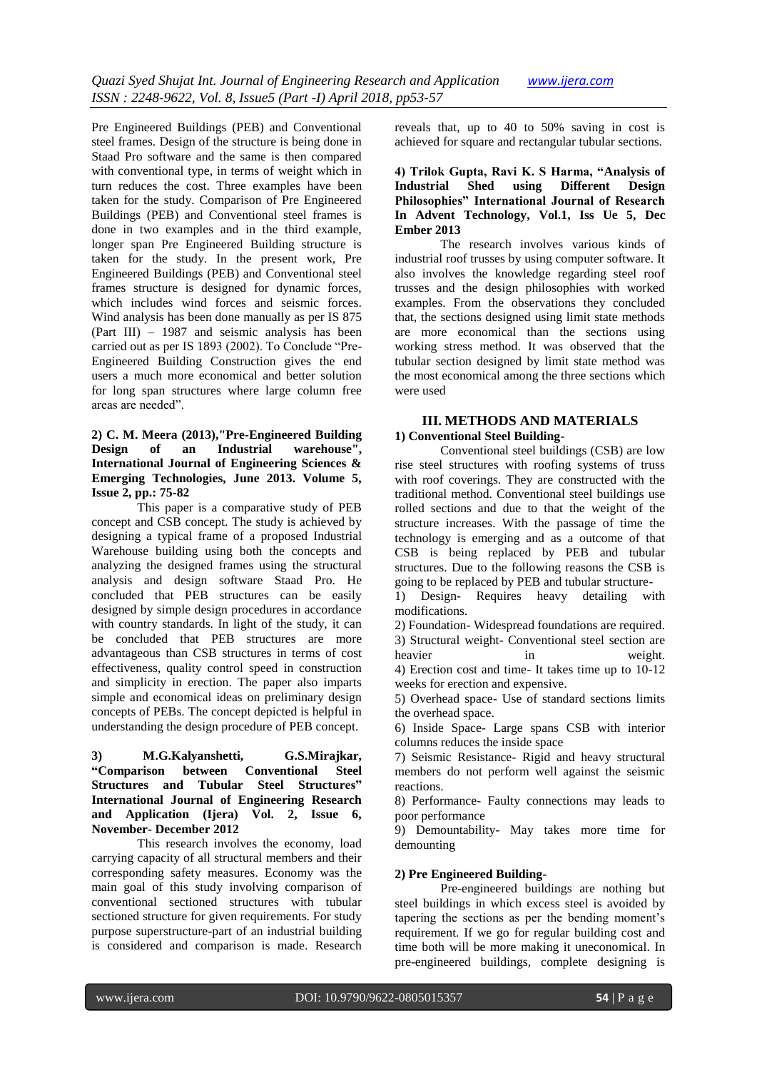Pre Engineered Buildings (PEB) and Conventional steel frames. Design of the structure is being done in Staad Pro software and the same is then compared with conventional type, in terms of weight which in turn reduces the cost. Three examples have been taken for the study. Comparison of Pre Engineered Buildings (PEB) and Conventional steel frames is done in two examples and in the third example, longer span Pre Engineered Building structure is taken for the study. In the present work, Pre Engineered Buildings (PEB) and Conventional steel frames structure is designed for dynamic forces, which includes wind forces and seismic forces. Wind analysis has been done manually as per IS 875 (Part III) – 1987 and seismic analysis has been carried out as per IS 1893 (2002). To Conclude "Pre-Engineered Building Construction gives the end users a much more economical and better solution for long span structures where large column free areas are needed".

# **2) C. M. Meera (2013),"Pre-Engineered Building Design of an Industrial warehouse", International Journal of Engineering Sciences & Emerging Technologies, June 2013. Volume 5, Issue 2, pp.: 75-82**

This paper is a comparative study of PEB concept and CSB concept. The study is achieved by designing a typical frame of a proposed Industrial Warehouse building using both the concepts and analyzing the designed frames using the structural analysis and design software Staad Pro. He concluded that PEB structures can be easily designed by simple design procedures in accordance with country standards. In light of the study, it can be concluded that PEB structures are more advantageous than CSB structures in terms of cost effectiveness, quality control speed in construction and simplicity in erection. The paper also imparts simple and economical ideas on preliminary design concepts of PEBs. The concept depicted is helpful in understanding the design procedure of PEB concept.

# **3) M.G.Kalyanshetti, G.S.Mirajkar, "Comparison between Conventional Steel Structures and Tubular Steel Structures" International Journal of Engineering Research and Application (Ijera) Vol. 2, Issue 6, November- December 2012**

This research involves the economy, load carrying capacity of all structural members and their corresponding safety measures. Economy was the main goal of this study involving comparison of conventional sectioned structures with tubular sectioned structure for given requirements. For study purpose superstructure-part of an industrial building is considered and comparison is made. Research

reveals that, up to 40 to 50% saving in cost is achieved for square and rectangular tubular sections.

# **4) Trilok Gupta, Ravi K. S Harma, "Analysis of Industrial Sheppon Different Philosophies" International Journal of Research In Advent Technology, Vol.1, Iss Ue 5, Dec Ember 2013**

The research involves various kinds of industrial roof trusses by using computer software. It also involves the knowledge regarding steel roof trusses and the design philosophies with worked examples. From the observations they concluded that, the sections designed using limit state methods are more economical than the sections using working stress method. It was observed that the tubular section designed by limit state method was the most economical among the three sections which were used

# **III. METHODS AND MATERIALS 1) Conventional Steel Building-**

Conventional steel buildings (CSB) are low rise steel structures with roofing systems of truss with roof coverings. They are constructed with the traditional method. Conventional steel buildings use rolled sections and due to that the weight of the structure increases. With the passage of time the technology is emerging and as a outcome of that CSB is being replaced by PEB and tubular structures. Due to the following reasons the CSB is going to be replaced by PEB and tubular structure-

1) Design- Requires heavy detailing with modifications.

2) Foundation- Widespread foundations are required. 3) Structural weight- Conventional steel section are heavier in weight. 4) Erection cost and time- It takes time up to 10-12

weeks for erection and expensive. 5) Overhead space- Use of standard sections limits

the overhead space. 6) Inside Space- Large spans CSB with interior columns reduces the inside space

7) Seismic Resistance- Rigid and heavy structural members do not perform well against the seismic reactions.

8) Performance- Faulty connections may leads to poor performance

9) Demountability- May takes more time for demounting

# **2) Pre Engineered Building-**

Pre-engineered buildings are nothing but steel buildings in which excess steel is avoided by tapering the sections as per the bending moment's requirement. If we go for regular building cost and time both will be more making it uneconomical. In pre-engineered buildings, complete designing is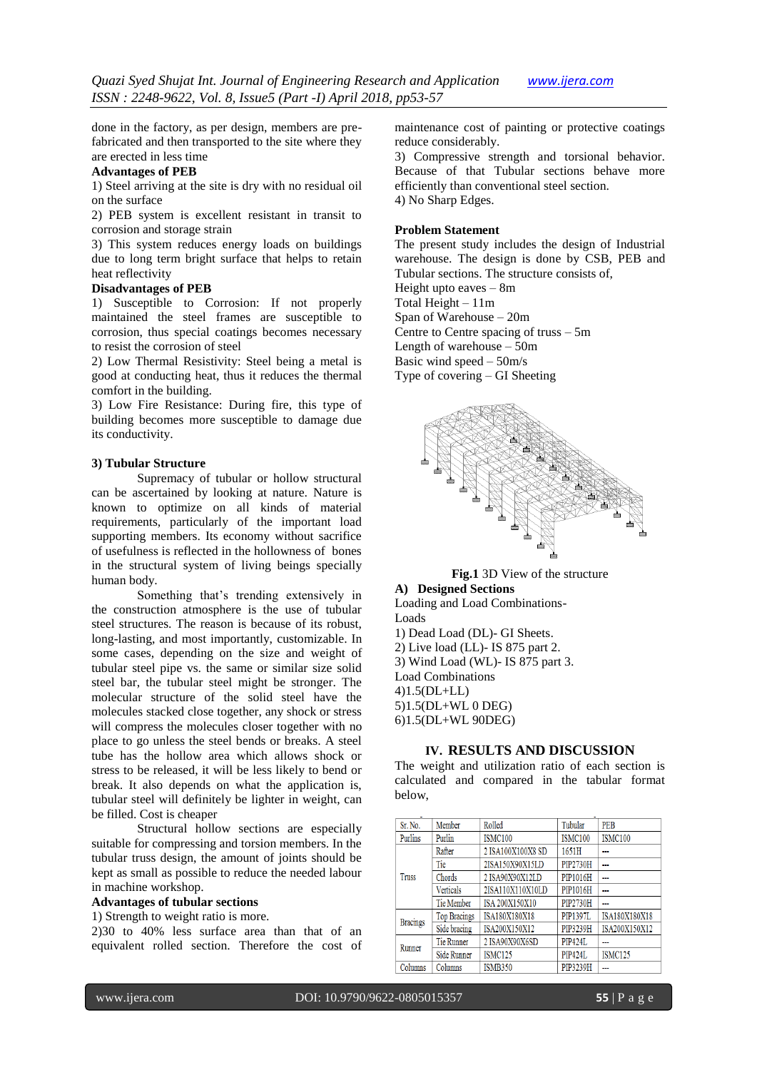done in the factory, as per design, members are prefabricated and then transported to the site where they are erected in less time

# **Advantages of PEB**

1) Steel arriving at the site is dry with no residual oil on the surface

2) PEB system is excellent resistant in transit to corrosion and storage strain

3) This system reduces energy loads on buildings due to long term bright surface that helps to retain heat reflectivity

#### **Disadvantages of PEB**

1) Susceptible to Corrosion: If not properly maintained the steel frames are susceptible to corrosion, thus special coatings becomes necessary to resist the corrosion of steel

2) Low Thermal Resistivity: Steel being a metal is good at conducting heat, thus it reduces the thermal comfort in the building.

3) Low Fire Resistance: During fire, this type of building becomes more susceptible to damage due its conductivity.

#### **3) Tubular Structure**

Supremacy of tubular or hollow structural can be ascertained by looking at nature. Nature is known to optimize on all kinds of material requirements, particularly of the important load supporting members. Its economy without sacrifice of usefulness is reflected in the hollowness of bones in the structural system of living beings specially human body.

Something that's trending extensively in the construction atmosphere is the use of tubular steel structures. The reason is because of its robust, long-lasting, and most importantly, customizable. In some cases, depending on the size and weight of tubular steel pipe vs. the same or similar size solid steel bar, the tubular steel might be stronger. The molecular structure of the solid steel have the molecules stacked close together, any shock or stress will compress the molecules closer together with no place to go unless the steel bends or breaks. A steel tube has the hollow area which allows shock or stress to be released, it will be less likely to bend or break. It also depends on what the application is, tubular steel will definitely be lighter in weight, can be filled. Cost is cheaper

Structural hollow sections are especially suitable for compressing and torsion members. In the tubular truss design, the amount of joints should be kept as small as possible to reduce the needed labour in machine workshop.

### **Advantages of tubular sections**

1) Strength to weight ratio is more.

2)30 to 40% less surface area than that of an equivalent rolled section. Therefore the cost of maintenance cost of painting or protective coatings reduce considerably.

3) Compressive strength and torsional behavior. Because of that Tubular sections behave more efficiently than conventional steel section. 4) No Sharp Edges.

#### **Problem Statement**

The present study includes the design of Industrial warehouse. The design is done by CSB, PEB and Tubular sections. The structure consists of,

Height upto eaves – 8m

Total Height – 11m

Span of Warehouse – 20m

Centre to Centre spacing of truss – 5m

Length of warehouse – 50m

Basic wind speed – 50m/s

Type of covering – GI Sheeting



# **Fig.1** 3D View of the structure

#### **A) Designed Sections**

Loading and Load Combinations-Loads

1) Dead Load (DL)- GI Sheets.

2) Live load (LL)- IS 875 part 2. 3) Wind Load (WL)- IS 875 part 3.

Load Combinations

4)1.5(DL+LL)

5)1.5(DL+WL 0 DEG)

6)1.5(DL+WL 90DEG)

# **IV. RESULTS AND DISCUSSION**

The weight and utilization ratio of each section is calculated and compared in the tabular format below,

| Sr. No.         | Member              | Rolled            | Tubular         | <b>PEB</b>     |  |
|-----------------|---------------------|-------------------|-----------------|----------------|--|
| Purlins         | Purlin              | <b>ISMC100</b>    | ISMC100         | <b>ISMC100</b> |  |
|                 | Rafter              | 2 ISA100X100X8 SD | 1651H           |                |  |
|                 | Tie                 | 2ISA150X90X15LD   | <b>PIP2730H</b> | ---            |  |
| Truss           | Chords              | 2 ISA90X90X12LD   | PIP1016H        | ---            |  |
|                 | <b>Verticals</b>    | 2ISA110X110X10LD  | PIP1016H        | ---            |  |
|                 | Tie Member          | ISA 200X150X10    | <b>PIP2730H</b> | ---            |  |
| <b>Bracings</b> | <b>Top Bracings</b> | ISA180X180X18     | <b>PIP1397L</b> | ISA180X180X18  |  |
|                 | Side bracing        | ISA200X150X12     | PIP3239H        | ISA200X150X12  |  |
| Runner          | <b>Tie Runner</b>   | 2 ISA90X90X6SD    | <b>PIP424L</b>  | --             |  |
|                 | Side Runner         | <b>ISMC125</b>    | <b>PIP424L</b>  | <b>ISMC125</b> |  |
| Columns         | Columns             | <b>ISMB350</b>    | PIP3239H        | ---            |  |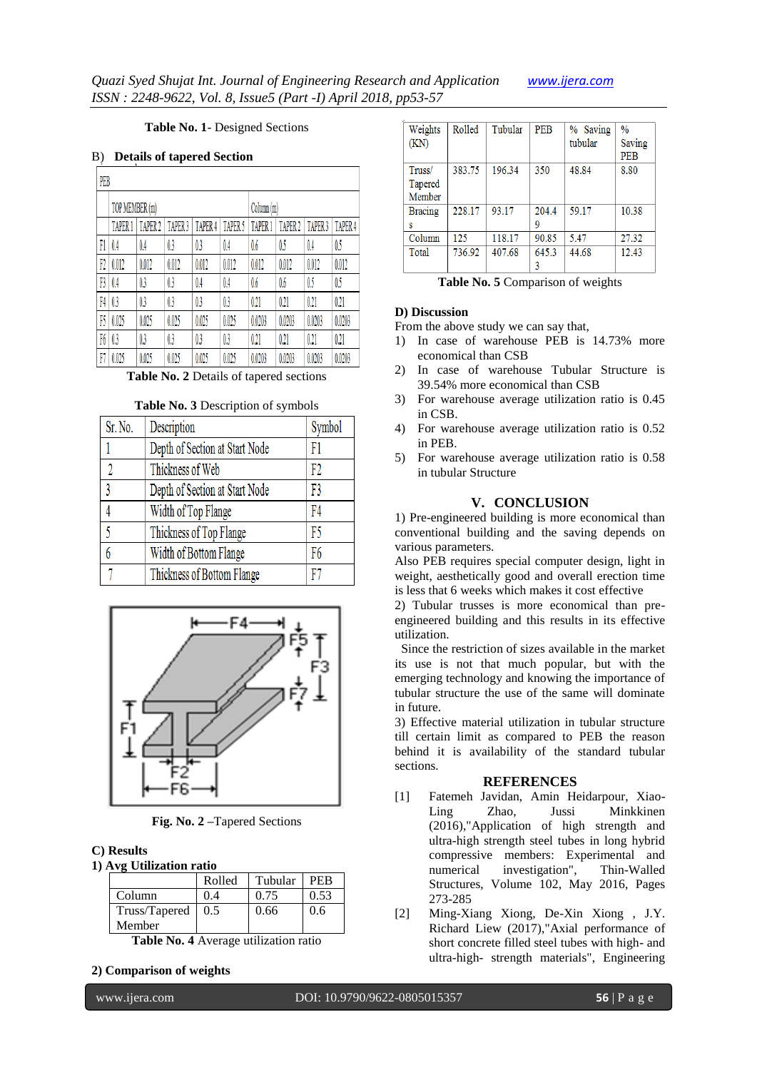# **Table No. 1**- Designed Sections

#### B) **Details of tapered Section**

| PEB |                |                    |                    |         |                    |                    |                    |         |                    |
|-----|----------------|--------------------|--------------------|---------|--------------------|--------------------|--------------------|---------|--------------------|
|     | TOP MEMBER (m) |                    |                    |         | Column (m)         |                    |                    |         |                    |
|     | <b>TAPER 1</b> | TAPER <sub>2</sub> | TAPER <sub>3</sub> | TAPER 4 | TAPER <sub>5</sub> | TAPER <sup>1</sup> | TAPER <sub>2</sub> | TAPER 3 | TAPER <sub>4</sub> |
| Fi  | 0.4            | 0.4                | 0.3                | 0.3     | 0.4                | 0.6                | 05                 | 0.4     | 0.5                |
| F2  | 0.012          | 0.012              | 0.012              | 0.012   | 0.012              | 0.012              | 0.012              | 0.012   | 0.012              |
| F3  | 0.4            | 0.3                | 0.3                | 0.4     | 0.4                | 0.6                | 0.6                | 0.5     | 05                 |
| F4  | 0.3            | 0.3                | 0.3                | 0.3     | 0.3                | 0.21               | 0.21               | 0.21    | 0.21               |
| B   | 0.025          | 0.025              | 0.025              | 0.025   | 0.025              | 0.0203             | 0.0203             | 0.0203  | 0.0203             |
| F6  | 0.3            | 0.3                | 0.3                | 0.3     | 0.3                | 0.21               | 0.21               | 0.21    | 0.21               |
| F   | 0.025          | 0.025              | 0.025              | 0.025   | 0.025              | 0.0203             | 0.0203             | 0.0203  | 0.0203             |

**Table No. 2** Details of tapered sections

#### **Table No. 3** Description of symbols

| Sr. No. | Description                    | Symbol |
|---------|--------------------------------|--------|
|         | Depth of Section at Start Node | F1     |
| 1       | Thickness of Web               | F2     |
| 3       | Depth of Section at Start Node | F3     |
|         | Width of Top Flange            | F4     |
| 5       | Thickness of Top Flange        | F5     |
| 6       | Width of Bottom Flange         | F6     |
|         | Thickness of Bottom Flange     | F7     |



**Fig. No. 2 –**Tapered Sections

# **C) Results**

**1) Avg Utilization ratio**

|                                    | Rolled | Tubular | <b>PEB</b> |  |  |
|------------------------------------|--------|---------|------------|--|--|
| Column                             | 0.4    | 0.75    | 0.53       |  |  |
| Truss/Tapered                      | 0.5    | 0.66    | 0.6        |  |  |
| Member                             |        |         |            |  |  |
| Table Mart Assument Strategy and a |        |         |            |  |  |

**Table No. 4** Average utilization ratio

# **2) Comparison of weights**

| Weights        | Rolled | Tubular | <b>PEB</b> | % Saving | $\frac{0}{0}$ |
|----------------|--------|---------|------------|----------|---------------|
| (KN)           |        |         |            | tubular  | Saving        |
|                |        |         |            |          | PEB           |
| Truss/         | 383.75 | 196.34  | 350        | 48.84    | 8.80          |
| Tapered        |        |         |            |          |               |
| Member         |        |         |            |          |               |
| <b>Bracing</b> | 228.17 | 93.17   | 204.4      | 59.17    | 10.38         |
| s              |        |         | 9          |          |               |
| Column         | 125    | 118.17  | 90.85      | 5.47     | 27.32         |
| Total          | 736.92 | 407.68  | 645.3      | 44.68    | 12.43         |
|                |        |         |            |          |               |

**Table No. 5** Comparison of weights

# **D) Discussion**

- From the above study we can say that,
- 1) In case of warehouse PEB is 14.73% more economical than CSB
- 2) In case of warehouse Tubular Structure is 39.54% more economical than CSB
- 3) For warehouse average utilization ratio is 0.45 in CSB.
- 4) For warehouse average utilization ratio is 0.52 in PEB.
- 5) For warehouse average utilization ratio is 0.58 in tubular Structure

# **V. CONCLUSION**

1) Pre-engineered building is more economical than conventional building and the saving depends on various parameters.

Also PEB requires special computer design, light in weight, aesthetically good and overall erection time is less that 6 weeks which makes it cost effective

2) Tubular trusses is more economical than preengineered building and this results in its effective utilization.

 Since the restriction of sizes available in the market its use is not that much popular, but with the emerging technology and knowing the importance of tubular structure the use of the same will dominate in future.

3) Effective material utilization in tubular structure till certain limit as compared to PEB the reason behind it is availability of the standard tubular sections.

### **REFERENCES**

- [1] Fatemeh Javidan, Amin Heidarpour, Xiao-Ling Zhao, Jussi Minkkinen (2016),"Application of high strength and ultra-high strength steel tubes in long hybrid compressive members: Experimental and numerical investigation", Thin-Walled Structures, Volume 102, May 2016, Pages 273-285
- [2] Ming-Xiang Xiong, De-Xin Xiong , J.Y. Richard Liew (2017),"Axial performance of short concrete filled steel tubes with high- and ultra-high- strength materials", Engineering